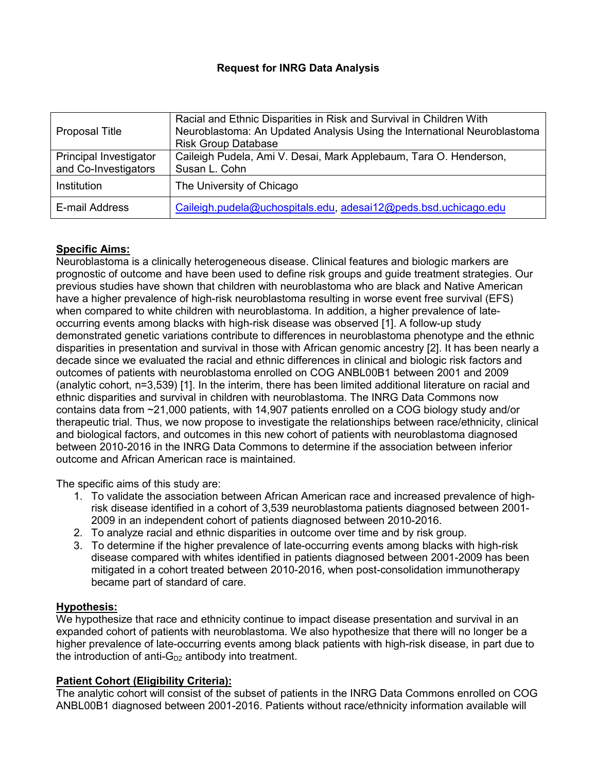# **Request for INRG Data Analysis**

| Proposal Title                                 | Racial and Ethnic Disparities in Risk and Survival in Children With<br>Neuroblastoma: An Updated Analysis Using the International Neuroblastoma<br><b>Risk Group Database</b> |
|------------------------------------------------|-------------------------------------------------------------------------------------------------------------------------------------------------------------------------------|
| Principal Investigator<br>and Co-Investigators | Caileigh Pudela, Ami V. Desai, Mark Applebaum, Tara O. Henderson,<br>Susan L. Cohn                                                                                            |
| Institution                                    | The University of Chicago                                                                                                                                                     |
| E-mail Address                                 | Caileigh.pudela@uchospitals.edu, adesai12@peds.bsd.uchicago.edu                                                                                                               |

# **Specific Aims:**

Neuroblastoma is a clinically heterogeneous disease. Clinical features and biologic markers are prognostic of outcome and have been used to define risk groups and guide treatment strategies. Our previous studies have shown that children with neuroblastoma who are black and Native American have a higher prevalence of high-risk neuroblastoma resulting in worse event free survival (EFS) when compared to white children with neuroblastoma. In addition, a higher prevalence of lateoccurring events among blacks with high-risk disease was observed [1]. A follow-up study demonstrated genetic variations contribute to differences in neuroblastoma phenotype and the ethnic disparities in presentation and survival in those with African genomic ancestry [2]. It has been nearly a decade since we evaluated the racial and ethnic differences in clinical and biologic risk factors and outcomes of patients with neuroblastoma enrolled on COG ANBL00B1 between 2001 and 2009 (analytic cohort, n=3,539) [1]. In the interim, there has been limited additional literature on racial and ethnic disparities and survival in children with neuroblastoma. The INRG Data Commons now contains data from ~21,000 patients, with 14,907 patients enrolled on a COG biology study and/or therapeutic trial. Thus, we now propose to investigate the relationships between race/ethnicity, clinical and biological factors, and outcomes in this new cohort of patients with neuroblastoma diagnosed between 2010-2016 in the INRG Data Commons to determine if the association between inferior outcome and African American race is maintained.

The specific aims of this study are:

- 1. To validate the association between African American race and increased prevalence of highrisk disease identified in a cohort of 3,539 neuroblastoma patients diagnosed between 2001- 2009 in an independent cohort of patients diagnosed between 2010-2016.
- 2. To analyze racial and ethnic disparities in outcome over time and by risk group.
- 3. To determine if the higher prevalence of late-occurring events among blacks with high-risk disease compared with whites identified in patients diagnosed between 2001-2009 has been mitigated in a cohort treated between 2010-2016, when post-consolidation immunotherapy became part of standard of care.

# **Hypothesis:**

We hypothesize that race and ethnicity continue to impact disease presentation and survival in an expanded cohort of patients with neuroblastoma. We also hypothesize that there will no longer be a higher prevalence of late-occurring events among black patients with high-risk disease, in part due to the introduction of anti- $G_{D2}$  antibody into treatment.

### **Patient Cohort (Eligibility Criteria):**

The analytic cohort will consist of the subset of patients in the INRG Data Commons enrolled on COG ANBL00B1 diagnosed between 2001-2016. Patients without race/ethnicity information available will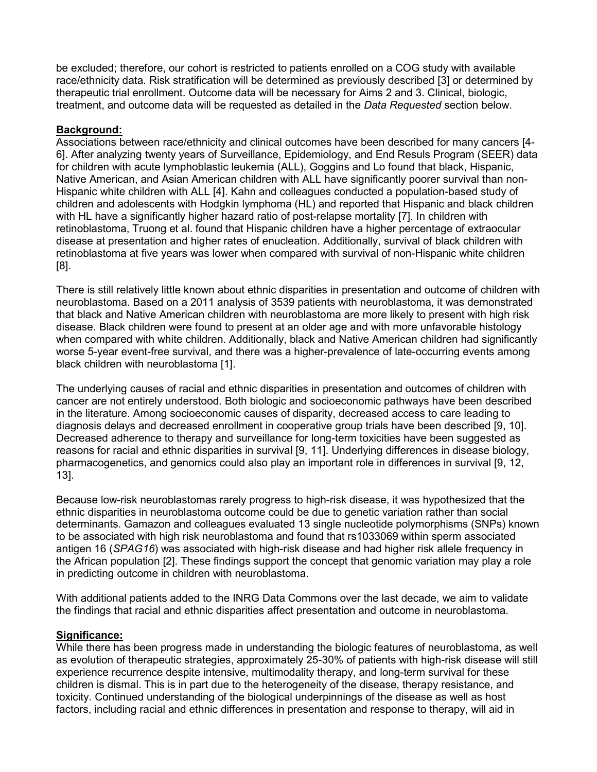be excluded; therefore, our cohort is restricted to patients enrolled on a COG study with available race/ethnicity data. Risk stratification will be determined as previously described [3] or determined by therapeutic trial enrollment. Outcome data will be necessary for Aims 2 and 3. Clinical, biologic, treatment, and outcome data will be requested as detailed in the *Data Requested* section below.

#### **Background:**

Associations between race/ethnicity and clinical outcomes have been described for many cancers [4- 6]. After analyzing twenty years of Surveillance, Epidemiology, and End Resuls Program (SEER) data for children with acute lymphoblastic leukemia (ALL), Goggins and Lo found that black, Hispanic, Native American, and Asian American children with ALL have significantly poorer survival than non-Hispanic white children with ALL [4]. Kahn and colleagues conducted a population-based study of children and adolescents with Hodgkin lymphoma (HL) and reported that Hispanic and black children with HL have a significantly higher hazard ratio of post-relapse mortality [7]. In children with retinoblastoma, Truong et al. found that Hispanic children have a higher percentage of extraocular disease at presentation and higher rates of enucleation. Additionally, survival of black children with retinoblastoma at five years was lower when compared with survival of non-Hispanic white children [8].

There is still relatively little known about ethnic disparities in presentation and outcome of children with neuroblastoma. Based on a 2011 analysis of 3539 patients with neuroblastoma, it was demonstrated that black and Native American children with neuroblastoma are more likely to present with high risk disease. Black children were found to present at an older age and with more unfavorable histology when compared with white children. Additionally, black and Native American children had significantly worse 5-year event-free survival, and there was a higher-prevalence of late-occurring events among black children with neuroblastoma [1].

The underlying causes of racial and ethnic disparities in presentation and outcomes of children with cancer are not entirely understood. Both biologic and socioeconomic pathways have been described in the literature. Among socioeconomic causes of disparity, decreased access to care leading to diagnosis delays and decreased enrollment in cooperative group trials have been described [9, 10]. Decreased adherence to therapy and surveillance for long-term toxicities have been suggested as reasons for racial and ethnic disparities in survival [9, 11]. Underlying differences in disease biology, pharmacogenetics, and genomics could also play an important role in differences in survival [9, 12, 13].

Because low-risk neuroblastomas rarely progress to high-risk disease, it was hypothesized that the ethnic disparities in neuroblastoma outcome could be due to genetic variation rather than social determinants. Gamazon and colleagues evaluated 13 single nucleotide polymorphisms (SNPs) known to be associated with high risk neuroblastoma and found that rs1033069 within sperm associated antigen 16 (*SPAG16*) was associated with high-risk disease and had higher risk allele frequency in the African population [2]. These findings support the concept that genomic variation may play a role in predicting outcome in children with neuroblastoma.

With additional patients added to the INRG Data Commons over the last decade, we aim to validate the findings that racial and ethnic disparities affect presentation and outcome in neuroblastoma.

### **Significance:**

While there has been progress made in understanding the biologic features of neuroblastoma, as well as evolution of therapeutic strategies, approximately 25-30% of patients with high-risk disease will still experience recurrence despite intensive, multimodality therapy, and long-term survival for these children is dismal. This is in part due to the heterogeneity of the disease, therapy resistance, and toxicity. Continued understanding of the biological underpinnings of the disease as well as host factors, including racial and ethnic differences in presentation and response to therapy, will aid in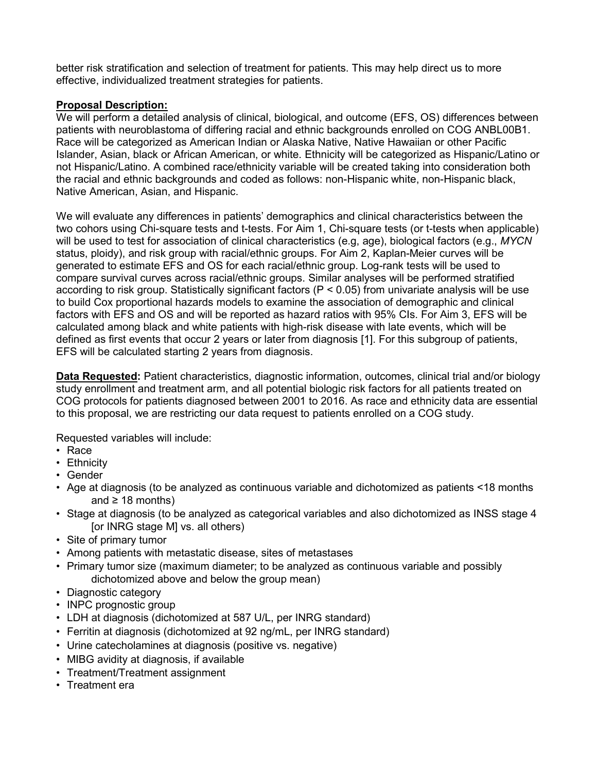better risk stratification and selection of treatment for patients. This may help direct us to more effective, individualized treatment strategies for patients.

### **Proposal Description:**

We will perform a detailed analysis of clinical, biological, and outcome (EFS, OS) differences between patients with neuroblastoma of differing racial and ethnic backgrounds enrolled on COG ANBL00B1. Race will be categorized as American Indian or Alaska Native, Native Hawaiian or other Pacific Islander, Asian, black or African American, or white. Ethnicity will be categorized as Hispanic/Latino or not Hispanic/Latino. A combined race/ethnicity variable will be created taking into consideration both the racial and ethnic backgrounds and coded as follows: non-Hispanic white, non-Hispanic black, Native American, Asian, and Hispanic.

We will evaluate any differences in patients' demographics and clinical characteristics between the two cohors using Chi-square tests and t-tests. For Aim 1, Chi-square tests (or t-tests when applicable) will be used to test for association of clinical characteristics (e.g, age), biological factors (e.g., *MYCN*  status, ploidy), and risk group with racial/ethnic groups. For Aim 2, Kaplan-Meier curves will be generated to estimate EFS and OS for each racial/ethnic group. Log-rank tests will be used to compare survival curves across racial/ethnic groups. Similar analyses will be performed stratified according to risk group. Statistically significant factors (P < 0.05) from univariate analysis will be use to build Cox proportional hazards models to examine the association of demographic and clinical factors with EFS and OS and will be reported as hazard ratios with 95% CIs. For Aim 3, EFS will be calculated among black and white patients with high-risk disease with late events, which will be defined as first events that occur 2 years or later from diagnosis [1]. For this subgroup of patients, EFS will be calculated starting 2 years from diagnosis.

**Data Requested:** Patient characteristics, diagnostic information, outcomes, clinical trial and/or biology study enrollment and treatment arm, and all potential biologic risk factors for all patients treated on COG protocols for patients diagnosed between 2001 to 2016. As race and ethnicity data are essential to this proposal, we are restricting our data request to patients enrolled on a COG study.

Requested variables will include:

- Race
- Ethnicity
- Gender
- Age at diagnosis (to be analyzed as continuous variable and dichotomized as patients <18 months and  $\geq$  18 months)
- Stage at diagnosis (to be analyzed as categorical variables and also dichotomized as INSS stage 4 [or INRG stage M] vs. all others)
- Site of primary tumor
- Among patients with metastatic disease, sites of metastases
- Primary tumor size (maximum diameter; to be analyzed as continuous variable and possibly dichotomized above and below the group mean)
- Diagnostic category
- INPC prognostic group
- LDH at diagnosis (dichotomized at 587 U/L, per INRG standard)
- Ferritin at diagnosis (dichotomized at 92 ng/mL, per INRG standard)
- Urine catecholamines at diagnosis (positive vs. negative)
- MIBG avidity at diagnosis, if available
- Treatment/Treatment assignment
- Treatment era